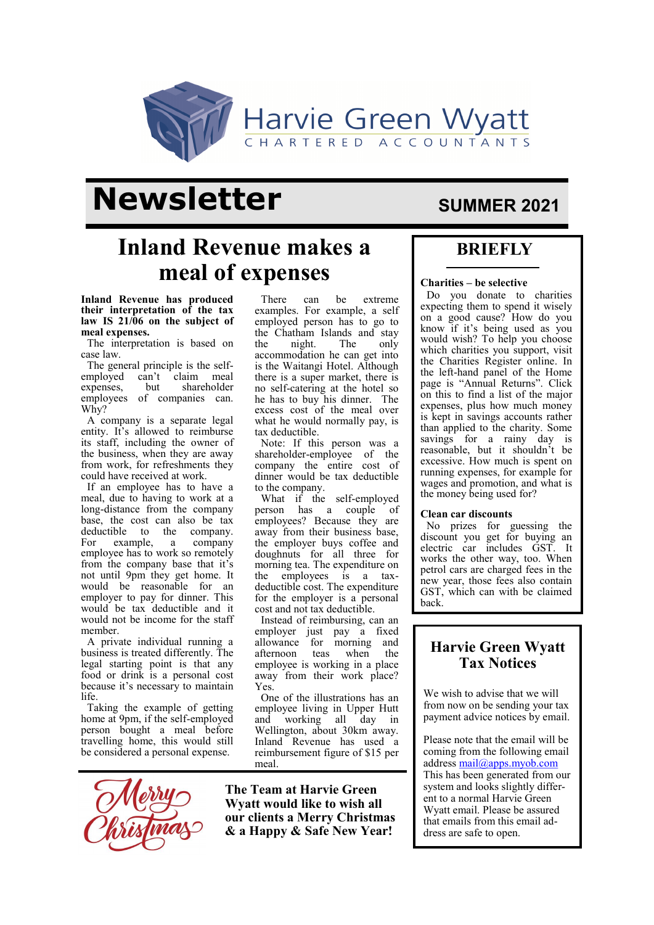

# **Newsletter** SUMMER 2021

## **Inland Revenue makes a meal of expenses**

**Inland Revenue has produced their interpretation of the tax law IS 21/06 on the subject of meal expenses.** 

The interpretation is based on case law.

The general principle is the selfemployed can't claim meal expenses, but shareholder employees of companies can. Why?

A company is a separate legal entity. It's allowed to reimburse its staff, including the owner of the business, when they are away from work, for refreshments they could have received at work.

If an employee has to have a meal, due to having to work at a long-distance from the company base, the cost can also be tax deductible to the company. For example, a company employee has to work so remotely from the company base that it's not until 9pm they get home. It would be reasonable for an employer to pay for dinner. This would be tax deductible and it would not be income for the staff member.

A private individual running a business is treated differently. The legal starting point is that any food or drink is a personal cost because it's necessary to maintain life.

Taking the example of getting home at 9pm, if the self-employed person bought a meal before travelling home, this would still be considered a personal expense.



There can be extreme examples. For example, a self employed person has to go to the Chatham Islands and stay<br>the night. The only the night. The only accommodation he can get into is the Waitangi Hotel. Although there is a super market, there is no self-catering at the hotel so he has to buy his dinner. The excess cost of the meal over what he would normally pay, is tax deductible.

Note: If this person was a shareholder-employee of the company the entire cost of dinner would be tax deductible to the company.

What if the self-employed person has a couple of employees? Because they are away from their business base, the employer buys coffee and doughnuts for all three for morning tea. The expenditure on the employees is a taxdeductible cost. The expenditure for the employer is a personal cost and not tax deductible.

Instead of reimbursing, can an employer just pay a fixed allowance for morning and afternoon teas when the employee is working in a place away from their work place? Yes.

One of the illustrations has an employee living in Upper Hutt and working all day in Wellington, about 30km away. Inland Revenue has used a reimbursement figure of \$15 per meal.

**The Team at Harvie Green Wyatt would like to wish all our clients a Merry Christmas & a Happy & Safe New Year!** 

### **BRIEFLY**

#### **Charities – be selective**

Do you donate to charities expecting them to spend it wisely on a good cause? How do you know if it's being used as you would wish? To help you choose which charities you support, visit the Charities Register online. In the left-hand panel of the Home page is "Annual Returns". Click on this to find a list of the major expenses, plus how much money is kept in savings accounts rather than applied to the charity. Some savings for a rainy day is reasonable, but it shouldn't be excessive. How much is spent on running expenses, for example for wages and promotion, and what is the money being used for?

#### **Clean car discounts**

No prizes for guessing the discount you get for buying an electric car includes GST. It works the other way, too. When petrol cars are charged fees in the new year, those fees also contain GST, which can with be claimed back.

### **Harvie Green Wyatt Tax Notices**

We wish to advise that we will from now on be sending your tax payment advice notices by email.

Please note that the email will be coming from the following email address [mail@apps.myob.com](mailto:mail@apps.myob.com) This has been generated from our system and looks slightly different to a normal Harvie Green Wyatt email. Please be assured that emails from this email address are safe to open.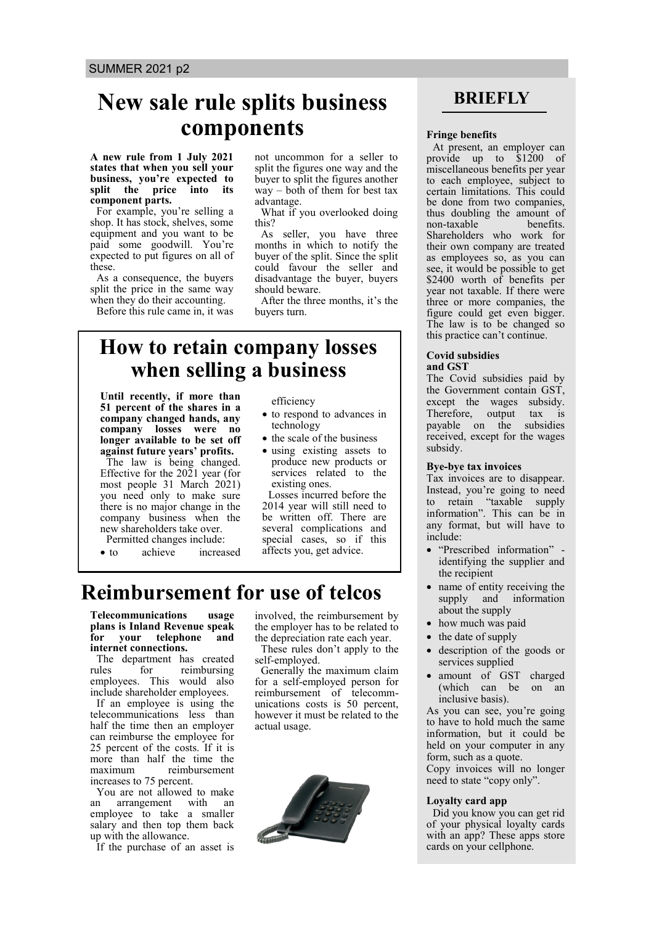# **New sale rule splits business components Figure 5 Fringe benefits**

#### **A new rule from 1 July 2021 states that when you sell your business, you're expected to split the price into its component parts.**

For example, you're selling a shop. It has stock, shelves, some equipment and you want to be paid some goodwill. You're expected to put figures on all of these.

As a consequence, the buyers split the price in the same way when they do their accounting. Before this rule came in, it was not uncommon for a seller to split the figures one way and the buyer to split the figures another way – both of them for best tax advantage.

What if you overlooked doing this?

As seller, you have three months in which to notify the buyer of the split. Since the split could favour the seller and disadvantage the buyer, buyers should beware.

After the three months, it's the buyers turn.

### **How to retain company losses when selling a business**

**Until recently, if more than 51 percent of the shares in a company changed hands, any company losses were no longer available to be set off against future years' profits.**  The law is being changed.

Effective for the 2021 year (for most people 31 March 2021) you need only to make sure there is no major change in the company business when the new shareholders take over. Permitted changes include:

• to achieve increased

efficiency

- to respond to advances in technology
- the scale of the business
- using existing assets to produce new products or services related to the existing ones.

Losses incurred before the 2014 year will still need to be written off. There are several complications and special cases, so if this affects you, get advice.

## **Reimbursement for use of telcos**

**Telecommunications usage plans is Inland Revenue speak for your telephone and internet connections.**

The department has created<br>rules for reimbursing for reimbursing employees. This would also include shareholder employees.

If an employee is using the<br>elecommunications less than telecommunications less half the time then an employer can reimburse the employee for 25 percent of the costs. If it is more than half the time the maximum reimbursement increases to 75 percent.

You are not allowed to make an arrangement with an employee to take a smaller salary and then top them back up with the allowance.

If the purchase of an asset is

involved, the reimbursement by the employer has to be related to the depreciation rate each year.

These rules don't apply to the self-employed.

Generally the maximum claim for a self-employed person for reimbursement of telecommunications costs is 50 percent, however it must be related to the actual usage.



### **BRIEFLY**

At present, an employer can provide up to \$1200 of miscellaneous benefits per year to each employee, subject to certain limitations. This could be done from two companies, thus doubling the amount of non-taxable benefits. non-taxable Shareholders who work for their own company are treated as employees so, as you can see, it would be possible to get \$2400 worth of benefits per year not taxable. If there were three or more companies, the figure could get even bigger. The law is to be changed so this practice can't continue.

#### **Covid subsidies and GST**

The Covid subsidies paid by the Government contain GST, except the wages subsidy.<br>Therefore, output tax is Therefore, output tax is payable on the subsidies received, except for the wages subsidy.

#### **Bye-bye tax invoices**

Tax invoices are to disappear. Instead, you're going to need to retain "taxable supply information". This can be in any format, but will have to include:

- "Prescribed information" identifying the supplier and the recipient
- name of entity receiving the supply and information about the supply
- how much was paid
- the date of supply
- description of the goods or services supplied
- amount of GST charged (which can be on an inclusive basis).

As you can see, you're going to have to hold much the same information, but it could be held on your computer in any form, such as a quote.

Copy invoices will no longer need to state "copy only".

#### **Loyalty card app**

Did you know you can get rid of your physical loyalty cards with an app? These apps store cards on your cellphone.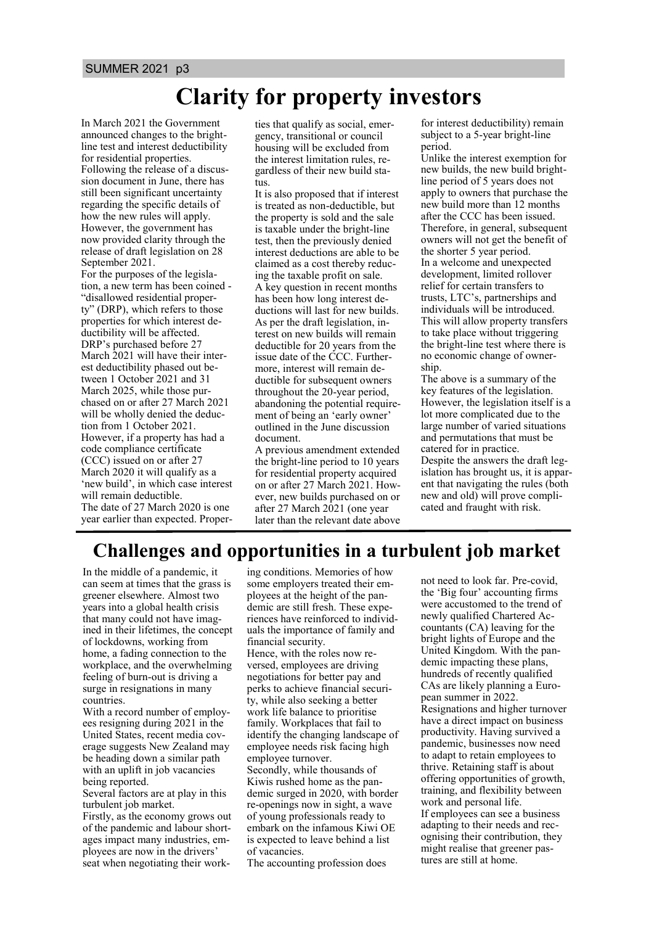# **Clarity for property investors**

In March 2021 the Government announced changes to the brightline test and interest deductibility for residential properties. Following the release of a discussion document in June, there has still been significant uncertainty regarding the specific details of how the new rules will apply. However, the government has now provided clarity through the release of draft legislation on 28 September 2021.

For the purposes of the legislation, a new term has been coined - "disallowed residential property" (DRP), which refers to those properties for which interest deductibility will be affected. DRP's purchased before 27 March 2021 will have their interest deductibility phased out between 1 October 2021 and 31 March 2025, while those purchased on or after 27 March 2021 will be wholly denied the deduction from 1 October 2021. However, if a property has had a code compliance certificate (CCC) issued on or after 27 March 2020 it will qualify as a 'new build', in which case interest will remain deductible. The date of 27 March 2020 is one

year earlier than expected. Proper-

ties that qualify as social, emergency, transitional or council housing will be excluded from the interest limitation rules, regardless of their new build status.

It is also proposed that if interest is treated as non-deductible, but the property is sold and the sale is taxable under the bright-line test, then the previously denied interest deductions are able to be claimed as a cost thereby reducing the taxable profit on sale. A key question in recent months has been how long interest deductions will last for new builds. As per the draft legislation, interest on new builds will remain deductible for 20 years from the issue date of the CCC. Furthermore, interest will remain deductible for subsequent owners throughout the 20-year period, abandoning the potential requirement of being an 'early owner' outlined in the June discussion document.

A previous amendment extended the bright-line period to 10 years for residential property acquired on or after 27 March 2021. However, new builds purchased on or after 27 March 2021 (one year later than the relevant date above for interest deductibility) remain subject to a 5-year bright-line period.

Unlike the interest exemption for new builds, the new build brightline period of 5 years does not apply to owners that purchase the new build more than 12 months after the CCC has been issued. Therefore, in general, subsequent owners will not get the benefit of the shorter 5 year period. In a welcome and unexpected development, limited rollover relief for certain transfers to trusts, LTC's, partnerships and individuals will be introduced. This will allow property transfers to take place without triggering the bright-line test where there is no economic change of ownership.

The above is a summary of the key features of the legislation. However, the legislation itself is a lot more complicated due to the large number of varied situations and permutations that must be catered for in practice. Despite the answers the draft legislation has brought us, it is apparent that navigating the rules (both new and old) will prove complicated and fraught with risk.

### **Challenges and opportunities in a turbulent job market**

In the middle of a pandemic, it can seem at times that the grass is greener elsewhere. Almost two years into a global health crisis that many could not have imagined in their lifetimes, the concept of lockdowns, working from home, a fading connection to the workplace, and the overwhelming feeling of burn-out is driving a surge in resignations in many countries.

With a record number of employees resigning during 2021 in the United States, recent media coverage suggests New Zealand may be heading down a similar path with an uplift in job vacancies being reported.

Several factors are at play in this turbulent job market.

Firstly, as the economy grows out of the pandemic and labour shortages impact many industries, employees are now in the drivers' seat when negotiating their working conditions. Memories of how some employers treated their employees at the height of the pandemic are still fresh. These experiences have reinforced to individuals the importance of family and financial security. Hence, with the roles now reversed, employees are driving negotiations for better pay and perks to achieve financial security, while also seeking a better work life balance to prioritise family. Workplaces that fail to identify the changing landscape of employee needs risk facing high employee turnover. Secondly, while thousands of Kiwis rushed home as the pandemic surged in 2020, with border re-openings now in sight, a wave of young professionals ready to

embark on the infamous Kiwi OE is expected to leave behind a list of vacancies.

The accounting profession does

not need to look far. Pre-covid, the 'Big four' accounting firms were accustomed to the trend of newly qualified Chartered Accountants (CA) leaving for the bright lights of Europe and the United Kingdom. With the pandemic impacting these plans, hundreds of recently qualified CAs are likely planning a European summer in 2022. Resignations and higher turnover have a direct impact on business productivity. Having survived a pandemic, businesses now need to adapt to retain employees to thrive. Retaining staff is about offering opportunities of growth, training, and flexibility between work and personal life. If employees can see a business adapting to their needs and recognising their contribution, they

might realise that greener pastures are still at home.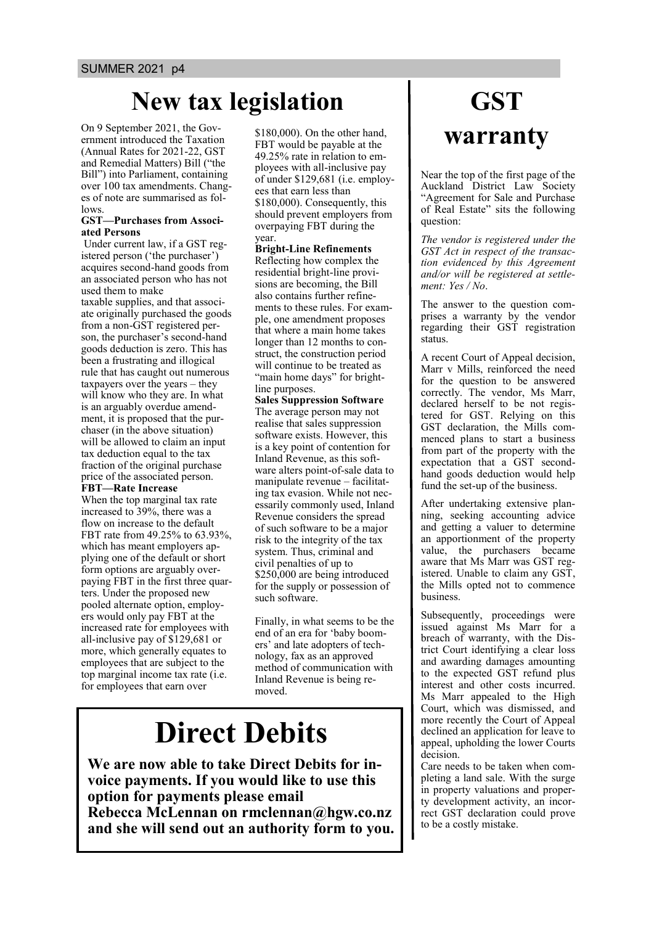# **New tax legislation**

On 9 September 2021, the Government introduced the Taxation (Annual Rates for 2021-22, GST and Remedial Matters) Bill ("the Bill") into Parliament, containing over 100 tax amendments. Changes of note are summarised as follows.

#### **GST—Purchases from Associated Persons**

Under current law, if a GST registered person ('the purchaser') acquires second-hand goods from an associated person who has not used them to make

taxable supplies, and that associate originally purchased the goods from a non-GST registered person, the purchaser's second-hand goods deduction is zero. This has been a frustrating and illogical rule that has caught out numerous taxpayers over the years – they will know who they are. In what is an arguably overdue amendment, it is proposed that the purchaser (in the above situation) will be allowed to claim an input tax deduction equal to the tax fraction of the original purchase price of the associated person.

#### **FBT—Rate Increase**

When the top marginal tax rate increased to 39%, there was a flow on increase to the default FBT rate from 49.25% to 63.93%, which has meant employers applying one of the default or short form options are arguably overpaying FBT in the first three quarters. Under the proposed new pooled alternate option, employers would only pay FBT at the increased rate for employees with all-inclusive pay of \$129,681 or more, which generally equates to employees that are subject to the top marginal income tax rate (i.e. for employees that earn over

\$180,000). On the other hand, FBT would be payable at the 49.25% rate in relation to employees with all-inclusive pay of under \$129,681 (i.e. employees that earn less than \$180,000). Consequently, this should prevent employers from overpaying FBT during the year.

#### **Bright-Line Refinements**

Reflecting how complex the residential bright-line provisions are becoming, the Bill also contains further refinements to these rules. For example, one amendment proposes that where a main home takes longer than 12 months to construct, the construction period will continue to be treated as "main home days" for brightline purposes.

**Sales Suppression Software** The average person may not realise that sales suppression software exists. However, this is a key point of contention for Inland Revenue, as this software alters point-of-sale data to manipulate revenue – facilitating tax evasion. While not necessarily commonly used, Inland Revenue considers the spread of such software to be a major risk to the integrity of the tax system. Thus, criminal and civil penalties of up to \$250,000 are being introduced for the supply or possession of such software.

Finally, in what seems to be the end of an era for 'baby boomers' and late adopters of technology, fax as an approved method of communication with Inland Revenue is being removed.

# **Direct Debits**

**We are now able to take Direct Debits for invoice payments. If you would like to use this option for payments please email Rebecca McLennan on rmclennan@hgw.co.nz and she will send out an authority form to you.**

# **GST warranty**

Near the top of the first page of the Auckland District Law Society "Agreement for Sale and Purchase of Real Estate" sits the following question:

*The vendor is registered under the GST Act in respect of the transaction evidenced by this Agreement and/or will be registered at settlement: Yes / No*.

The answer to the question comprises a warranty by the vendor regarding their GST registration status.

A recent Court of Appeal decision, Marr v Mills, reinforced the need for the question to be answered correctly. The vendor, Ms Marr, declared herself to be not registered for GST. Relying on this GST declaration, the Mills commenced plans to start a business from part of the property with the expectation that a GST secondhand goods deduction would help fund the set-up of the business.

After undertaking extensive planning, seeking accounting advice and getting a valuer to determine an apportionment of the property value, the purchasers became aware that Ms Marr was GST registered. Unable to claim any GST, the Mills opted not to commence business.

Subsequently, proceedings were issued against Ms Marr for a breach of warranty, with the District Court identifying a clear loss and awarding damages amounting to the expected GST refund plus interest and other costs incurred. Ms Marr appealed to the High Court, which was dismissed, and more recently the Court of Appeal declined an application for leave to appeal, upholding the lower Courts decision.

Care needs to be taken when completing a land sale. With the surge in property valuations and property development activity, an incorrect GST declaration could prove to be a costly mistake.